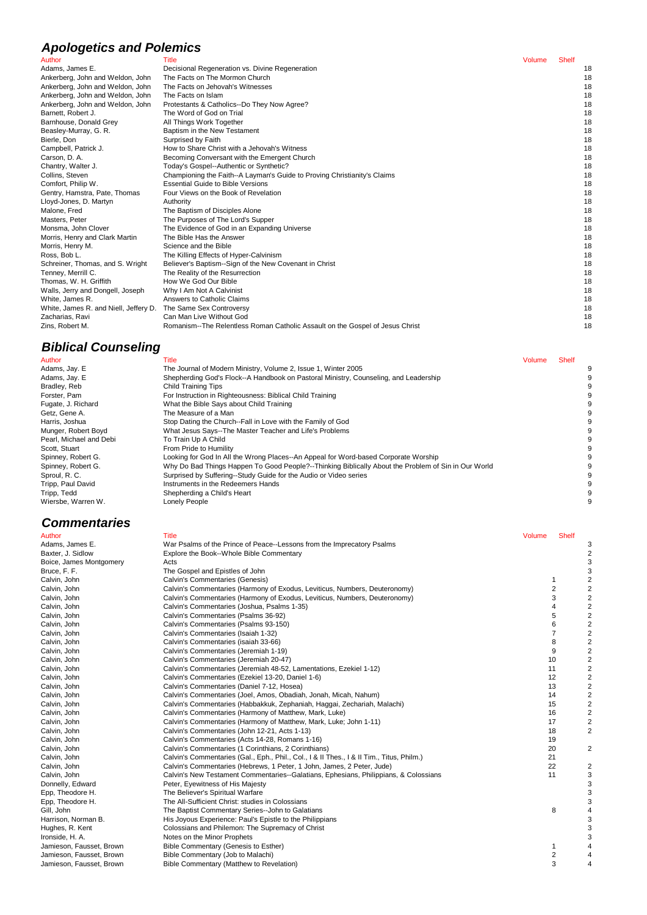## **Apologetics and Polemics**

## **Biblical Counseling**

### **Commentaries**

| Author                                | Title                                                                         | Volume | <b>Shelf</b> |    |
|---------------------------------------|-------------------------------------------------------------------------------|--------|--------------|----|
| Adams, James E.                       | Decisional Regeneration vs. Divine Regeneration                               |        |              | 18 |
| Ankerberg, John and Weldon, John      | The Facts on The Mormon Church                                                |        |              | 18 |
| Ankerberg, John and Weldon, John      | The Facts on Jehovah's Witnesses                                              |        |              | 18 |
| Ankerberg, John and Weldon, John      | The Facts on Islam                                                            |        |              | 18 |
| Ankerberg, John and Weldon, John      | Protestants & Catholics--Do They Now Agree?                                   |        |              | 18 |
| Barnett. Robert J.                    | The Word of God on Trial                                                      |        |              | 18 |
| Barnhouse, Donald Grey                | All Things Work Together                                                      |        |              | 18 |
| Beasley-Murray, G. R.                 | Baptism in the New Testament                                                  |        |              | 18 |
| Bierle, Don                           | Surprised by Faith                                                            |        |              | 18 |
| Campbell, Patrick J.                  | How to Share Christ with a Jehovah's Witness                                  |        |              | 18 |
| Carson, D. A.                         | Becoming Conversant with the Emergent Church                                  |        |              | 18 |
| Chantry, Walter J.                    | Today's Gospel--Authentic or Synthetic?                                       |        |              | 18 |
| Collins, Steven                       | Championing the Faith--A Layman's Guide to Proving Christianity's Claims      |        |              | 18 |
| Comfort, Philip W.                    | <b>Essential Guide to Bible Versions</b>                                      |        |              | 18 |
| Gentry, Hamstra, Pate, Thomas         | Four Views on the Book of Revelation                                          |        |              | 18 |
| Lloyd-Jones, D. Martyn                | Authority                                                                     |        |              | 18 |
| Malone, Fred                          | The Baptism of Disciples Alone                                                |        |              | 18 |
| Masters, Peter                        | The Purposes of The Lord's Supper                                             |        |              | 18 |
| Monsma, John Clover                   | The Evidence of God in an Expanding Universe                                  |        |              | 18 |
| Morris, Henry and Clark Martin        | The Bible Has the Answer                                                      |        |              | 18 |
| Morris, Henry M.                      | Science and the Bible                                                         |        |              | 18 |
| Ross, Bob L.                          | The Killing Effects of Hyper-Calvinism                                        |        |              | 18 |
| Schreiner, Thomas, and S. Wright      | Believer's Baptism--Sign of the New Covenant in Christ                        |        |              | 18 |
| Tenney, Merrill C.                    | The Reality of the Resurrection                                               |        |              | 18 |
| Thomas, W. H. Griffith                | How We God Our Bible                                                          |        |              | 18 |
| Walls, Jerry and Dongell, Joseph      | Why I Am Not A Calvinist                                                      |        |              | 18 |
| White, James R.                       | Answers to Catholic Claims                                                    |        |              | 18 |
| White, James R. and Niell, Jeffery D. | The Same Sex Controversy                                                      |        |              | 18 |
| Zacharias, Ravi                       | Can Man Live Without God                                                      |        |              | 18 |
| Zins, Robert M.                       | Romanism--The Relentless Roman Catholic Assault on the Gospel of Jesus Christ |        |              | 18 |

| Author                  | Title                                                                                               | Volume | <b>Shelf</b> |  |
|-------------------------|-----------------------------------------------------------------------------------------------------|--------|--------------|--|
| Adams, Jay. E           | The Journal of Modern Ministry, Volume 2, Issue 1, Winter 2005                                      |        |              |  |
| Adams, Jay. E           | Shepherding God's Flock--A Handbook on Pastoral Ministry, Counseling, and Leadership                |        |              |  |
| Bradley, Reb            | Child Training Tips                                                                                 |        |              |  |
| Forster, Pam            | For Instruction in Righteousness: Biblical Child Training                                           |        |              |  |
| Fugate, J. Richard      | What the Bible Says about Child Training                                                            |        |              |  |
| Getz, Gene A.           | The Measure of a Man                                                                                |        |              |  |
| Harris, Joshua          | Stop Dating the Church--Fall in Love with the Family of God                                         |        |              |  |
| Munger, Robert Boyd     | What Jesus Says--The Master Teacher and Life's Problems                                             |        |              |  |
| Pearl, Michael and Debi | To Train Up A Child                                                                                 |        |              |  |
| Scott, Stuart           | From Pride to Humility                                                                              |        |              |  |
| Spinney, Robert G.      | Looking for God In All the Wrong Places--An Appeal for Word-based Corporate Worship                 |        |              |  |
| Spinney, Robert G.      | Why Do Bad Things Happen To Good People?--Thinking Biblically About the Problem of Sin in Our World |        |              |  |
| Sproul, R. C.           | Surprised by Suffering--Study Guide for the Audio or Video series                                   |        |              |  |
| Tripp, Paul David       | Instruments in the Redeemers Hands                                                                  |        |              |  |
| Tripp, Tedd             | Shepherding a Child's Heart                                                                         |        |              |  |
| Wiersbe, Warren W.      | Lonely People                                                                                       |        |              |  |

| Author                   | <b>Title</b>                                                                              | Volume         | <b>Shelf</b> |                |
|--------------------------|-------------------------------------------------------------------------------------------|----------------|--------------|----------------|
| Adams, James E.          | War Psalms of the Prince of Peace--Lessons from the Imprecatory Psalms                    |                |              |                |
| Baxter, J. Sidlow        | Explore the Book--Whole Bible Commentary                                                  |                |              |                |
| Boice, James Montgomery  | Acts                                                                                      |                |              |                |
| Bruce, F. F.             | The Gospel and Epistles of John                                                           |                |              | 3              |
| Calvin, John             | Calvin's Commentaries (Genesis)                                                           | 1              |              |                |
| Calvin, John             | Calvin's Commentaries (Harmony of Exodus, Leviticus, Numbers, Deuteronomy)                | $\overline{2}$ |              | 2              |
| Calvin, John             | Calvin's Commentaries (Harmony of Exodus, Leviticus, Numbers, Deuteronomy)                | 3              |              | 2              |
| Calvin, John             | Calvin's Commentaries (Joshua, Psalms 1-35)                                               | 4              |              | 2              |
| Calvin, John             | Calvin's Commentaries (Psalms 36-92)                                                      | 5              |              | 2              |
| Calvin, John             | Calvin's Commentaries (Psalms 93-150)                                                     | 6              |              | 2              |
| Calvin, John             | Calvin's Commentaries (Isaiah 1-32)                                                       | 7              |              | 2              |
| Calvin, John             | Calvin's Commentaries (isaiah 33-66)                                                      | 8              |              |                |
| Calvin, John             | Calvin's Commentaries (Jeremiah 1-19)                                                     | 9              |              |                |
| Calvin, John             | Calvin's Commentaries (Jeremiah 20-47)                                                    | 10             |              |                |
| Calvin, John             | Calvin's Commentaries (Jeremiah 48-52, Lamentations, Ezekiel 1-12)                        | 11             |              | 2              |
| Calvin, John             | Calvin's Commentaries (Ezekiel 13-20, Daniel 1-6)                                         | 12             |              | 2              |
| Calvin, John             | Calvin's Commentaries (Daniel 7-12, Hosea)                                                | 13             |              | 2              |
| Calvin, John             | Calvin's Commentaries (Joel, Amos, Obadiah, Jonah, Micah, Nahum)                          | 14             |              | 2              |
| Calvin, John             | Calvin's Commentaries (Habbakkuk, Zephaniah, Haggai, Zechariah, Malachi)                  | 15             |              | $\overline{2}$ |
| Calvin, John             | Calvin's Commentaries (Harmony of Matthew, Mark, Luke)                                    | 16             |              | 2              |
| Calvin, John             | Calvin's Commentaries (Harmony of Matthew, Mark, Luke; John 1-11)                         | 17             |              | 2              |
| Calvin, John             | Calvin's Commentaries (John 12-21, Acts 1-13)                                             | 18             |              | 2              |
| Calvin, John             | Calvin's Commentaries (Acts 14-28, Romans 1-16)                                           | 19             |              |                |
| Calvin, John             | Calvin's Commentaries (1 Corinthians, 2 Corinthians)                                      | 20             |              | 2              |
| Calvin, John             | Calvin's Commentaries (Gal., Eph., Phil., Col., I & II Thes., I & II Tim., Titus, Philm.) | 21             |              |                |
| Calvin, John             | Calvin's Commentaries (Hebrews, 1 Peter, 1 John, James, 2 Peter, Jude)                    | 22             |              | 2              |
| Calvin, John             | Calvin's New Testament Commentaries--Galatians, Ephesians, Philippians, & Colossians      | 11             |              | 3              |
| Donnelly, Edward         | Peter, Eyewitness of His Majesty                                                          |                |              | 3              |
| Epp, Theodore H.         | The Believer's Spiritual Warfare                                                          |                |              |                |
| Epp, Theodore H.         | The All-Sufficient Christ: studies in Colossians                                          |                |              |                |
| Gill, John               | The Baptist Commentary Series--John to Galatians                                          | 8              |              |                |
| Harrison, Norman B.      | His Joyous Experience: Paul's Epistle to the Philippians                                  |                |              |                |
| Hughes, R. Kent          | Colossians and Philemon: The Supremacy of Christ                                          |                |              |                |
| Ironside, H. A.          | Notes on the Minor Prophets                                                               |                |              |                |
| Jamieson, Fausset, Brown | Bible Commentary (Genesis to Esther)                                                      | 1              |              |                |
| Jamieson, Fausset, Brown | Bible Commentary (Job to Malachi)                                                         | 2              |              |                |
| Jamieson, Fausset, Brown | Bible Commentary (Matthew to Revelation)                                                  | 3              |              |                |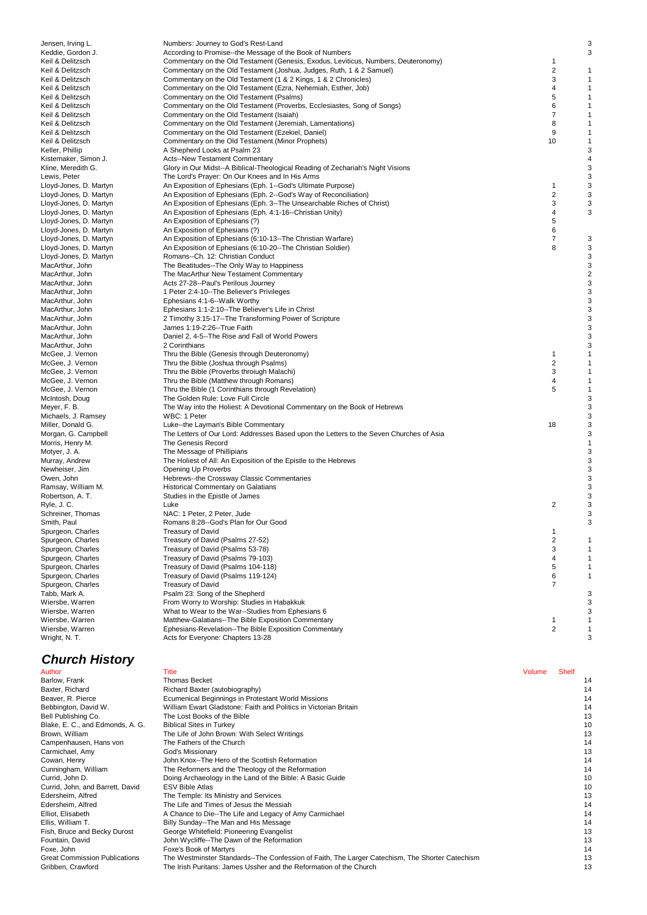| Jensen, Irving L.                                | Numbers: Journey to God's Rest-Land                                                                                              |                         | 3            |
|--------------------------------------------------|----------------------------------------------------------------------------------------------------------------------------------|-------------------------|--------------|
| Keddie, Gordon J.                                | According to Promise--the Message of the Book of Numbers                                                                         |                         | 3            |
| Keil & Delitzsch                                 | Commentary on the Old Testament (Genesis, Exodus, Leviticus, Numbers, Deuteronomy)                                               | 1                       |              |
| Keil & Delitzsch                                 | Commentary on the Old Testament (Joshua, Judges, Ruth, 1 & 2 Samuel)                                                             | $\overline{\mathbf{c}}$ | 1            |
| Keil & Delitzsch<br>Keil & Delitzsch             | Commentary on the Old Testament (1 & 2 Kings, 1 & 2 Chronicles)<br>Commentary on the Old Testament (Ezra, Nehemiah, Esther, Job) | 3<br>4                  | 1<br>1       |
| Keil & Delitzsch                                 | Commentary on the Old Testament (Psalms)                                                                                         | 5                       | $\mathbf 1$  |
| Keil & Delitzsch                                 | Commentary on the Old Testament (Proverbs, Ecclesiastes, Song of Songs)                                                          | 6                       | 1            |
| Keil & Delitzsch                                 | Commentary on the Old Testament (Isaiah)                                                                                         | $\overline{7}$          | $\mathbf 1$  |
| Keil & Delitzsch                                 | Commentary on the Old Testament (Jeremiah, Lamentations)                                                                         | 8                       | 1            |
| Keil & Delitzsch                                 | Commentary on the Old Testament (Ezekiel, Daniel)                                                                                | 9                       | $\mathbf 1$  |
| Keil & Delitzsch<br>Keller, Phillip              | Commentary on the Old Testament (Minor Prophets)<br>A Shepherd Looks at Psalm 23                                                 | 10                      | 1<br>3       |
| Kistemaker, Simon J.                             | <b>Acts--New Testament Commentary</b>                                                                                            |                         | 4            |
| Kline, Meredith G.                               | Glory in Our Midst--A Biblical-Theological Reading of Zechariah's Night Visions                                                  |                         | 3            |
| Lewis, Peter                                     | The Lord's Prayer: On Our Knees and In His Arms                                                                                  |                         | 3            |
| Lloyd-Jones, D. Martyn                           | An Exposition of Ephesians (Eph. 1--God's Ultimate Purpose)                                                                      | 1                       | 3            |
| Lloyd-Jones, D. Martyn                           | An Exposition of Ephesians (Eph. 2--God's Way of Reconciliation)                                                                 | $\overline{\mathbf{c}}$ | 3            |
| Lloyd-Jones, D. Martyn                           | An Exposition of Ephesians (Eph. 3--The Unsearchable Riches of Christ)                                                           | 3<br>4                  | 3<br>3       |
| Lloyd-Jones, D. Martyn<br>Lloyd-Jones, D. Martyn | An Exposition of Ephesians (Eph. 4:1-16--Christian Unity)<br>An Exposition of Ephesians (?)                                      | 5                       |              |
| Lloyd-Jones, D. Martyn                           | An Exposition of Ephesians (?)                                                                                                   | 6                       |              |
| Lloyd-Jones, D. Martyn                           | An Exposition of Ephesians (6:10-13--The Christian Warfare)                                                                      | $\overline{7}$          | 3            |
| Lloyd-Jones, D. Martyn                           | An Exposition of Ephesians (6:10-20--The Christian Soldier)                                                                      | 8                       | 3            |
| Lloyd-Jones, D. Martyn                           | Romans--Ch. 12: Christian Conduct                                                                                                |                         | 3            |
| MacArthur, John                                  | The Beatitudes--The Only Way to Happiness                                                                                        |                         | 3            |
| MacArthur, John                                  | The MacArthur New Testament Commentary<br>Acts 27-28--Paul's Perilous Journey                                                    |                         | 2<br>3       |
| MacArthur, John<br>MacArthur, John               | 1 Peter 2:4-10--The Believer's Privileges                                                                                        |                         | 3            |
| MacArthur, John                                  | Ephesians 4:1-6--Walk Worthy                                                                                                     |                         | 3            |
| MacArthur, John                                  | Ephesians 1:1-2:10--The Believer's Life in Christ                                                                                |                         | 3            |
| MacArthur, John                                  | 2 Timothy 3:15-17--The Transforming Power of Scripture                                                                           |                         | 3            |
| MacArthur, John                                  | James 1:19-2:26--True Faith                                                                                                      |                         | 3            |
| MacArthur, John                                  | Daniel 2, 4-5--The Rise and Fall of World Powers                                                                                 |                         | 3            |
| MacArthur, John<br>McGee, J. Vernon              | 2 Corinthians<br>Thru the Bible (Genesis through Deuteronomy)                                                                    | 1                       | 3<br>1       |
| McGee, J. Vernon                                 | Thru the Bible (Joshua through Psalms)                                                                                           | $\overline{2}$          | 1            |
| McGee, J. Vernon                                 | Thru the Bible (Proverbs throiugh Malachi)                                                                                       | 3                       | 1            |
| McGee, J. Vernon                                 | Thru the Bible (Matthew through Romans)                                                                                          | 4                       | 1            |
| McGee, J. Vernon                                 | Thru the Bible (1 Corinthians through Revelation)                                                                                | 5                       | $\mathbf{1}$ |
| McIntosh, Doug                                   | The Golden Rule: Love Full Circle                                                                                                |                         | 3            |
| Meyer, F. B.                                     | The Way into the Holiest: A Devotional Commentary on the Book of Hebrews                                                         |                         | 3            |
| Michaels, J. Ramsey<br>Miller, Donald G.         | WBC: 1 Peter<br>Luke--the Layman's Bible Commentary                                                                              | 18                      | 3<br>3       |
| Morgan, G. Campbell                              | The Letters of Our Lord: Addresses Based upon the Letters to the Seven Churches of Asia                                          |                         | 3            |
| Morris, Henry M.                                 | The Genesis Record                                                                                                               |                         | 1            |
| Motyer, J. A.                                    | The Message of Phillipians                                                                                                       |                         | 3            |
| Murray, Andrew                                   | The Holiest of All: An Exposition of the Epistle to the Hebrews                                                                  |                         | 3            |
| Newheiser, Jim                                   | Opening Up Proverbs                                                                                                              |                         | 3            |
| Owen, John<br>Ramsay, William M.                 | Hebrews--the Crossway Classic Commentaries<br>Historical Commentary on Galatians                                                 |                         | 3<br>3       |
| Robertson, A. T.                                 | Studies in the Epistle of James                                                                                                  |                         | 3            |
| Ryle, J. C.                                      | Luke                                                                                                                             | 2                       | 3            |
| Schreiner, Thomas                                | NAC: 1 Peter, 2 Peter, Jude                                                                                                      |                         | 3            |
| Smith, Paul                                      | Romans 8:28--God's Plan for Our Good                                                                                             |                         | 3            |
| Spurgeon, Charles                                | <b>Treasury of David</b>                                                                                                         | $\mathbf{1}$            |              |
| Spurgeon, Charles                                | Treasury of David (Psalms 27-52)                                                                                                 | $\overline{2}$<br>3     | 1            |
| Spurgeon, Charles<br>Spurgeon, Charles           | Treasury of David (Psalms 53-78)<br>Treasury of David (Psalms 79-103)                                                            | 4                       | 1<br>1       |
| Spurgeon, Charles                                | Treasury of David (Psalms 104-118)                                                                                               | 5                       | 1            |
| Spurgeon, Charles                                | Treasury of David (Psalms 119-124)                                                                                               | 6                       | 1            |
| Spurgeon, Charles                                | <b>Treasury of David</b>                                                                                                         | 7                       |              |
| Tabb, Mark A.                                    | Psalm 23: Song of the Shepherd                                                                                                   |                         | 3            |
| Wiersbe, Warren                                  | From Worry to Worship: Studies in Habakkuk                                                                                       |                         | 3            |
| Wiersbe, Warren<br>Wiersbe, Warren               | What to Wear to the War--Studies from Ephesians 6                                                                                | 1                       | 3<br>1       |
| Wiersbe, Warren                                  | Matthew-Galatians--The Bible Exposition Commentary<br>Ephesians-Revelation--The Bible Exposition Commentary                      | 2                       | 1            |
| Wright, N. T.                                    | Acts for Everyone: Chapters 13-28                                                                                                |                         | 3            |
| <b>Church History</b>                            |                                                                                                                                  |                         |              |
| Author                                           | Title                                                                                                                            | Volume Shelf            |              |
|                                                  |                                                                                                                                  |                         |              |

| Author                               | Title                                                                                           | Volume | <b>Shelf</b> |    |
|--------------------------------------|-------------------------------------------------------------------------------------------------|--------|--------------|----|
| Barlow, Frank                        | <b>Thomas Becket</b>                                                                            |        |              | 14 |
| Baxter, Richard                      | Richard Baxter (autobiography)                                                                  |        |              | 14 |
| Beaver, R. Pierce                    | Ecumenical Beginnings in Protestant World Missions                                              |        |              | 14 |
| Bebbington, David W.                 | William Ewart Gladstone: Faith and Politics in Victorian Britain                                |        |              | 14 |
| Bell Publishing Co.                  | The Lost Books of the Bible                                                                     |        |              | 13 |
| Blake, E. C., and Edmonds, A. G.     | <b>Biblical Sites in Turkey</b>                                                                 |        |              | 10 |
| Brown, William                       | The Life of John Brown: With Select Writings                                                    |        |              | 13 |
| Campenhausen, Hans von               | The Fathers of the Church                                                                       |        |              | 14 |
| Carmichael, Amy                      | God's Missionary                                                                                |        |              | 13 |
| Cowan, Henry                         | John Knox--The Hero of the Scottish Reformation                                                 |        |              | 14 |
| Cunningham, William                  | The Reformers and the Theology of the Reformation                                               |        |              | 14 |
| Currid, John D.                      | Doing Archaeology in the Land of the Bible: A Basic Guide                                       |        |              | 10 |
| Currid, John, and Barrett, David     | <b>ESV Bible Atlas</b>                                                                          |        |              | 10 |
| Edersheim, Alfred                    | The Temple: Its Ministry and Services                                                           |        |              | 13 |
| Edersheim, Alfred                    | The Life and Times of Jesus the Messiah                                                         |        |              | 14 |
| Elliot, Elisabeth                    | A Chance to Die--The Life and Legacy of Amy Carmichael                                          |        |              | 14 |
| Ellis, William T.                    | Billy Sunday--The Man and His Message                                                           |        |              | 14 |
| Fish, Bruce and Becky Durost         | George Whitefield: Pioneering Evangelist                                                        |        |              | 13 |
| Fountain, David                      | John Wycliffe--The Dawn of the Reformation                                                      |        |              | 13 |
| Foxe, John                           | Foxe's Book of Martyrs                                                                          |        |              | 14 |
| <b>Great Commission Publications</b> | The Westminster Standards--The Confession of Faith, The Larger Catechism, The Shorter Catechism |        |              | 13 |
| Gribben, Crawford                    | The Irish Puritans: James Ussher and the Reformation of the Church                              |        |              | 13 |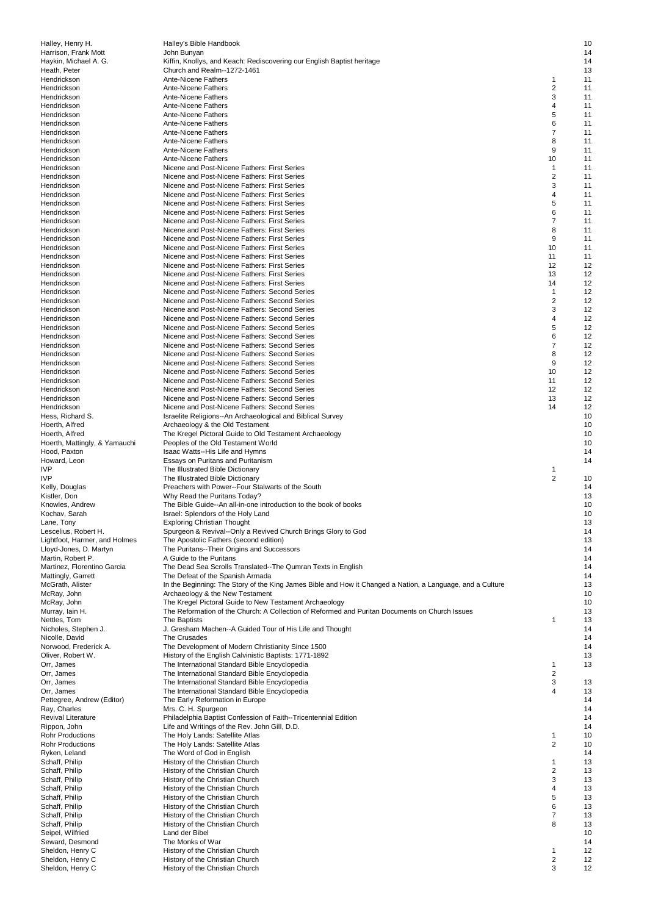| Halley, Henry H.                                  | Halley's Bible Handbook                                                                                    |                              | 10       |
|---------------------------------------------------|------------------------------------------------------------------------------------------------------------|------------------------------|----------|
| Harrison, Frank Mott                              | John Bunyan                                                                                                |                              | 14       |
| Haykin, Michael A. G.                             | Kiffin, Knollys, and Keach: Rediscovering our English Baptist heritage<br>Church and Realm--1272-1461      |                              | 14<br>13 |
| Heath, Peter<br>Hendrickson                       | Ante-Nicene Fathers                                                                                        | 1                            | 11       |
| Hendrickson                                       | Ante-Nicene Fathers                                                                                        | $\overline{2}$               | 11       |
| Hendrickson                                       | <b>Ante-Nicene Fathers</b>                                                                                 | 3                            | 11       |
| Hendrickson                                       | Ante-Nicene Fathers                                                                                        | 4                            | 11       |
| Hendrickson                                       | <b>Ante-Nicene Fathers</b>                                                                                 | 5                            | 11       |
| Hendrickson                                       | Ante-Nicene Fathers                                                                                        | 6                            | 11       |
| Hendrickson                                       | <b>Ante-Nicene Fathers</b>                                                                                 | 7                            | 11       |
| Hendrickson                                       | <b>Ante-Nicene Fathers</b>                                                                                 | 8                            | 11       |
| Hendrickson                                       | Ante-Nicene Fathers                                                                                        | 9                            | 11       |
| Hendrickson                                       | Ante-Nicene Fathers<br>Nicene and Post-Nicene Fathers: First Series                                        | 10<br>$\mathbf{1}$           | 11<br>11 |
| Hendrickson<br>Hendrickson                        | Nicene and Post-Nicene Fathers: First Series                                                               | $\overline{2}$               | 11       |
| Hendrickson                                       | Nicene and Post-Nicene Fathers: First Series                                                               | 3                            | 11       |
| Hendrickson                                       | Nicene and Post-Nicene Fathers: First Series                                                               | 4                            | 11       |
| Hendrickson                                       | Nicene and Post-Nicene Fathers: First Series                                                               | 5                            | 11       |
| Hendrickson                                       | Nicene and Post-Nicene Fathers: First Series                                                               | 6                            | 11       |
| Hendrickson                                       | Nicene and Post-Nicene Fathers: First Series                                                               | 7                            | 11       |
| Hendrickson                                       | Nicene and Post-Nicene Fathers: First Series                                                               | 8                            | 11       |
| Hendrickson                                       | Nicene and Post-Nicene Fathers: First Series                                                               | 9                            | 11       |
| Hendrickson                                       | Nicene and Post-Nicene Fathers: First Series                                                               | 10                           | 11       |
| Hendrickson                                       | Nicene and Post-Nicene Fathers: First Series                                                               | 11                           | 11       |
| Hendrickson<br>Hendrickson                        | Nicene and Post-Nicene Fathers: First Series<br>Nicene and Post-Nicene Fathers: First Series               | 12<br>13                     | 12<br>12 |
| Hendrickson                                       | Nicene and Post-Nicene Fathers: First Series                                                               | 14                           | 12       |
| Hendrickson                                       | Nicene and Post-Nicene Fathers: Second Series                                                              | 1                            | 12       |
| Hendrickson                                       | Nicene and Post-Nicene Fathers: Second Series                                                              | $\overline{\mathbf{c}}$      | 12       |
| Hendrickson                                       | Nicene and Post-Nicene Fathers: Second Series                                                              | 3                            | 12       |
| Hendrickson                                       | Nicene and Post-Nicene Fathers: Second Series                                                              | 4                            | 12       |
| Hendrickson                                       | Nicene and Post-Nicene Fathers: Second Series                                                              | 5                            | 12       |
| Hendrickson                                       | Nicene and Post-Nicene Fathers: Second Series                                                              | 6                            | 12       |
| Hendrickson                                       | Nicene and Post-Nicene Fathers: Second Series                                                              | 7                            | 12       |
| Hendrickson                                       | Nicene and Post-Nicene Fathers: Second Series                                                              | 8                            | 12       |
| Hendrickson                                       | Nicene and Post-Nicene Fathers: Second Series<br>Nicene and Post-Nicene Fathers: Second Series             | 9<br>10                      | 12<br>12 |
| Hendrickson<br>Hendrickson                        | Nicene and Post-Nicene Fathers: Second Series                                                              | 11                           | 12       |
| Hendrickson                                       | Nicene and Post-Nicene Fathers: Second Series                                                              | 12                           | 12       |
| Hendrickson                                       | Nicene and Post-Nicene Fathers: Second Series                                                              | 13                           | 12       |
| Hendrickson                                       | Nicene and Post-Nicene Fathers: Second Series                                                              | 14                           | 12       |
| Hess, Richard S.                                  | Israelite Religions--An Archaeological and Biblical Survey                                                 |                              | 10       |
| Hoerth, Alfred                                    | Archaeology & the Old Testament                                                                            |                              | 10       |
| Hoerth, Alfred                                    | The Kregel Pictoral Guide to Old Testament Archaeology                                                     |                              | 10       |
| Hoerth, Mattingly, & Yamauchi                     | Peoples of the Old Testament World                                                                         |                              | 10       |
| Hood, Paxton                                      | Isaac Watts--His Life and Hymns                                                                            |                              | 14       |
| Howard, Leon                                      | Essays on Puritans and Puritanism                                                                          |                              | 14       |
| <b>IVP</b><br><b>IVP</b>                          | The Illustrated Bible Dictionary<br>The Illustrated Bible Dictionary                                       | 1<br>$\overline{2}$          | 10       |
| Kelly, Douglas                                    | Preachers with Power--Four Stalwarts of the South                                                          |                              | 14       |
| Kistler, Don                                      | Why Read the Puritans Today?                                                                               |                              | 13       |
| Knowles, Andrew                                   | The Bible Guide--An all-in-one introduction to the book of books                                           |                              | 10       |
| Kochav, Sarah                                     | Israel: Splendors of the Holy Land                                                                         |                              | 10       |
| Lane, Tony                                        | <b>Exploring Christian Thought</b>                                                                         |                              | 13       |
| Lescelius, Robert H.                              | Spurgeon & Revival--Only a Revived Church Brings Glory to God                                              |                              | 14       |
| Lightfoot, Harmer, and Holmes                     | The Apostolic Fathers (second edition)                                                                     |                              | 13       |
| Lloyd-Jones, D. Martyn                            | The Puritans--Their Origins and Successors                                                                 |                              | 14       |
| Martin, Robert P.                                 | A Guide to the Puritans                                                                                    |                              | 14       |
| Martinez, Florentino Garcia<br>Mattingly, Garrett | The Dead Sea Scrolls Translated--The Qumran Texts in English<br>The Defeat of the Spanish Armada           |                              | 14<br>14 |
| McGrath, Alister                                  | In the Beginning: The Story of the King James Bible and How it Changed a Nation, a Language, and a Culture |                              | 13       |
| McRay, John                                       | Archaeology & the New Testament                                                                            |                              | 10       |
| McRay, John                                       | The Kregel Pictoral Guide to New Testament Archaeology                                                     |                              | 10       |
| Murray, Iain H.                                   | The Reformation of the Church: A Collection of Reformed and Puritan Documents on Church Issues             |                              | 13       |
| Nettles, Tom                                      | The Baptists                                                                                               | 1                            | 13       |
| Nicholes, Stephen J.                              | J. Gresham Machen--A Guided Tour of His Life and Thought                                                   |                              | 14       |
| Nicolle, David                                    | The Crusades                                                                                               |                              | 14       |
| Norwood, Frederick A.                             | The Development of Modern Christianity Since 1500                                                          |                              | 14       |
| Oliver, Robert W.                                 | History of the English Calvinistic Baptists: 1771-1892                                                     | 1                            | 13<br>13 |
| Orr, James<br>Orr, James                          | The International Standard Bible Encyclopedia<br>The International Standard Bible Encyclopedia             | $\overline{\mathbf{c}}$      |          |
| Orr, James                                        | The International Standard Bible Encyclopedia                                                              | 3                            | 13       |
| Orr, James                                        | The International Standard Bible Encyclopedia                                                              | 4                            | 13       |
| Pettegree, Andrew (Editor)                        | The Early Reformation in Europe                                                                            |                              | 14       |
| Ray, Charles                                      | Mrs. C. H. Spurgeon                                                                                        |                              | 14       |
| Revival Literature                                | Philadelphia Baptist Confession of Faith--Tricentennial Edition                                            |                              | 14       |
| Rippon, John                                      | Life and Writings of the Rev. John Gill, D.D.                                                              |                              | 14       |
| <b>Rohr Productions</b>                           | The Holy Lands: Satellite Atlas                                                                            | 1                            | 10       |
| Rohr Productions                                  | The Holy Lands: Satellite Atlas                                                                            | 2                            | 10       |
| Ryken, Leland<br>Schaff, Philip                   | The Word of God in English<br>History of the Christian Church                                              | 1                            | 14<br>13 |
| Schaff, Philip                                    | History of the Christian Church                                                                            | $\overline{\mathbf{c}}$      | 13       |
| Schaff, Philip                                    | History of the Christian Church                                                                            | 3                            | 13       |
| Schaff, Philip                                    | History of the Christian Church                                                                            | 4                            | 13       |
| Schaff, Philip                                    | History of the Christian Church                                                                            | 5                            | 13       |
| Schaff, Philip                                    | History of the Christian Church                                                                            | 6                            | 13       |
| Schaff, Philip                                    | History of the Christian Church                                                                            | 7                            | 13       |
| Schaff, Philip                                    | History of the Christian Church                                                                            | 8                            | 13       |
| Seipel, Wilfried                                  | Land der Bibel                                                                                             |                              | 10       |
| Seward, Desmond                                   | The Monks of War                                                                                           |                              | 14       |
| Sheldon, Henry C<br>Sheldon, Henry C              | History of the Christian Church<br>History of the Christian Church                                         | 1<br>$\overline{\mathbf{c}}$ | 12<br>12 |
| Sheldon, Henry C                                  | History of the Christian Church                                                                            | 3                            | 12       |
|                                                   |                                                                                                            |                              |          |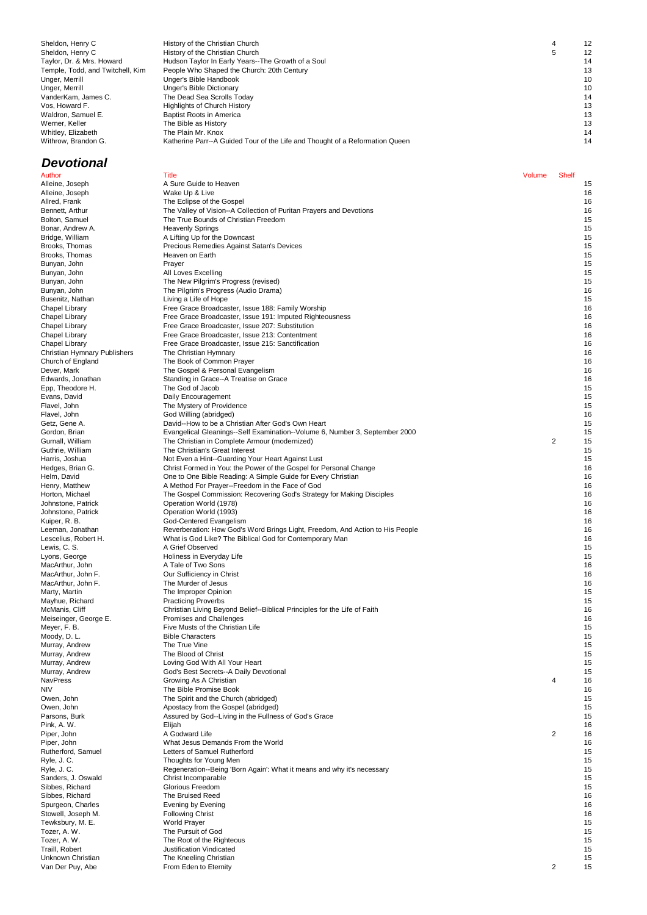| Sheldon, Henry C                 |
|----------------------------------|
| Sheldon, Henry C                 |
| Taylor, Dr. & Mrs. Howard        |
| Temple, Todd, and Twitchell, Kim |
| Unger, Merrill                   |
| Unger, Merrill                   |
| VanderKam, James C.              |
| Vos. Howard F.                   |
| Waldron, Samuel E.               |
| Werner, Keller                   |
| Whitley, Elizabeth               |
| Withrow, Brandon G.              |

## **Devotional**

History of the Christian Church 6 12 Shelton, History of the Christian Church 5 12 Hudson Taylor In Early Years--The Growth of a Soul 14<br>People Who Shaped the Church: 20th Century 13 Temple, Who Shaped the Church: 20th Century 13<br>The Shaped the Church: 20th Century 13<br>Unger's Bible Handbook 10 Unger's Bible Handbook 10<br>
Unger's Bible Handbook 10<br>
Unger's Bible Dictionary 10 Unger's Bible Dictionary The Dead Sea Scrolls Today 14 **Volume 12 All Accords Fishery** 13 **Baptist Roots in America** 13 Werner, Keller Network and The Bible as History 13 and the State of The Bible as History 13 and the State of The Bible as History 13 and the State of The Bible as History 13 and the State of The Bible as History 13 and the Whitley, Elizabeth The Plain Mr. Knox 14 Katherine Parr--A Guided Tour of the Life and Thought of a Reformation Queen 14

| Alleine, Joseph                  | Wake Up & Live                                                                |                | 16 |
|----------------------------------|-------------------------------------------------------------------------------|----------------|----|
| Allred, Frank                    | The Eclipse of the Gospel                                                     |                | 16 |
| Bennett, Arthur                  | The Valley of Vision--A Collection of Puritan Prayers and Devotions           |                | 16 |
| Bolton, Samuel                   | The True Bounds of Christian Freedom                                          |                | 15 |
| Bonar, Andrew A.                 | <b>Heavenly Springs</b>                                                       |                | 15 |
| Bridge, William                  | A Lifting Up for the Downcast                                                 |                | 15 |
| Brooks, Thomas                   | Precious Remedies Against Satan's Devices                                     |                | 15 |
| Brooks, Thomas                   | Heaven on Earth                                                               |                | 15 |
| Bunyan, John                     | Prayer                                                                        |                | 15 |
| Bunyan, John                     | All Loves Excelling                                                           |                | 15 |
| Bunyan, John                     | The New Pilgrim's Progress (revised)                                          |                | 15 |
| Bunyan, John                     | The Pilgrim's Progress (Audio Drama)                                          |                | 16 |
| Busenitz, Nathan                 | Living a Life of Hope                                                         |                | 15 |
| Chapel Library                   | Free Grace Broadcaster, Issue 188: Family Worship                             |                | 16 |
| Chapel Library                   | Free Grace Broadcaster, Issue 191: Imputed Righteousness                      |                | 16 |
| Chapel Library                   | Free Grace Broadcaster, Issue 207: Substitution                               |                | 16 |
| Chapel Library                   | Free Grace Broadcaster, Issue 213: Contentment                                |                | 16 |
| Chapel Library                   | Free Grace Broadcaster, Issue 215: Sanctification                             |                | 16 |
| Christian Hymnary Publishers     | The Christian Hymnary                                                         |                | 16 |
| Church of England                | The Book of Common Prayer                                                     |                | 16 |
| Dever, Mark                      | The Gospel & Personal Evangelism                                              |                | 16 |
| Edwards, Jonathan                | Standing in Grace--A Treatise on Grace                                        |                | 16 |
| Epp, Theodore H.                 | The God of Jacob                                                              |                | 15 |
| Evans, David                     | Daily Encouragement                                                           |                | 15 |
| Flavel, John                     | The Mystery of Providence                                                     |                | 15 |
| Flavel, John                     | God Willing (abridged)                                                        |                | 16 |
| Getz, Gene A.                    | David--How to be a Christian After God's Own Heart                            |                | 15 |
| Gordon, Brian                    | Evangelical Gleanings--Self Examination--Volume 6, Number 3, September 2000   |                | 15 |
| Gurnall, William                 | The Christian in Complete Armour (modernized)                                 | $\overline{2}$ | 15 |
| Guthrie, William                 | The Christian's Great Interest                                                |                | 15 |
| Harris, Joshua                   | Not Even a Hint--Guarding Your Heart Against Lust                             |                | 15 |
| Hedges, Brian G.                 | Christ Formed in You: the Power of the Gospel for Personal Change             |                | 16 |
| Helm, David                      | One to One Bible Reading: A Simple Guide for Every Christian                  |                | 16 |
| Henry, Matthew                   | A Method For Prayer--Freedom in the Face of God                               |                | 16 |
| Horton, Michael                  | The Gospel Commission: Recovering God's Strategy for Making Disciples         |                | 16 |
| Johnstone, Patrick               | Operation World (1978)                                                        |                | 16 |
| Johnstone, Patrick               | Operation World (1993)                                                        |                | 16 |
| Kuiper, R. B.                    | God-Centered Evangelism                                                       |                | 16 |
| Leeman, Jonathan                 | Reverberation: How God's Word Brings Light, Freedom, And Action to His People |                | 16 |
| Lescelius, Robert H.             | What is God Like? The Biblical God for Contemporary Man                       |                | 16 |
| Lewis, C. S.                     | A Grief Observed                                                              |                | 15 |
|                                  |                                                                               |                | 15 |
| Lyons, George<br>MacArthur, John | Holiness in Everyday Life<br>A Tale of Two Sons                               |                | 16 |
|                                  | Our Sufficiency in Christ                                                     |                | 16 |
| MacArthur, John F.               |                                                                               |                |    |
| MacArthur, John F.               | The Murder of Jesus                                                           |                | 16 |
| Marty, Martin                    | The Improper Opinion                                                          |                | 15 |
| Mayhue, Richard                  | <b>Practicing Proverbs</b>                                                    |                | 15 |
| McManis, Cliff                   | Christian Living Beyond Belief--Biblical Principles for the Life of Faith     |                | 16 |
| Meiseinger, George E.            | Promises and Challenges                                                       |                | 16 |
| Meyer, F. B.                     | Five Musts of the Christian Life                                              |                | 15 |
| Moody, D. L.                     | <b>Bible Characters</b>                                                       |                | 15 |
| Murray, Andrew                   | The True Vine                                                                 |                | 15 |
| Murray, Andrew                   | The Blood of Christ                                                           |                | 15 |
| Murray, Andrew                   | Loving God With All Your Heart                                                |                | 15 |
| Murray, Andrew                   | God's Best Secrets--A Daily Devotional                                        |                | 15 |
| NavPress                         | Growing As A Christian                                                        | 4              | 16 |
| ΝlV                              | The Bible Promise Book                                                        |                | 16 |
| Owen, John                       | The Spirit and the Church (abridged)                                          |                | 15 |
| Owen, John                       | Apostacy from the Gospel (abridged)                                           |                | 15 |
| Parsons, Burk                    | Assured by God--Living in the Fullness of God's Grace                         |                | 15 |
| Pink, A. W.                      | Elijah                                                                        |                | 16 |
| Piper, John                      | A Godward Life                                                                | $\overline{2}$ | 16 |
| Piper, John                      | What Jesus Demands From the World                                             |                | 16 |
| Rutherford, Samuel               | Letters of Samuel Rutherford                                                  |                | 15 |
| Ryle, J. C.                      | Thoughts for Young Men                                                        |                | 15 |
| Ryle, J. C.                      | Regeneration--Being 'Born Again': What it means and why it's necessary        |                | 15 |
| Sanders, J. Oswald               | Christ Incomparable                                                           |                | 15 |
| Sibbes, Richard                  | Glorious Freedom                                                              |                | 15 |
| Sibbes, Richard                  | The Bruised Reed                                                              |                | 16 |
| Spurgeon, Charles                | Evening by Evening                                                            |                | 16 |
| Stowell, Joseph M.               | <b>Following Christ</b>                                                       |                | 16 |
| Tewksbury, M. E.                 | <b>World Prayer</b>                                                           |                | 15 |
| Tozer, A. W.                     | The Pursuit of God                                                            |                | 15 |
| Tozer, A. W.                     | The Root of the Righteous                                                     |                | 15 |
| Traill, Robert                   | Justification Vindicated                                                      |                | 15 |
| Unknown Christian                | The Kneeling Christian                                                        |                | 15 |
| Van Der Puy, Abe                 | From Eden to Eternity                                                         | 2              | 15 |
|                                  |                                                                               |                |    |
|                                  |                                                                               |                |    |
|                                  |                                                                               |                |    |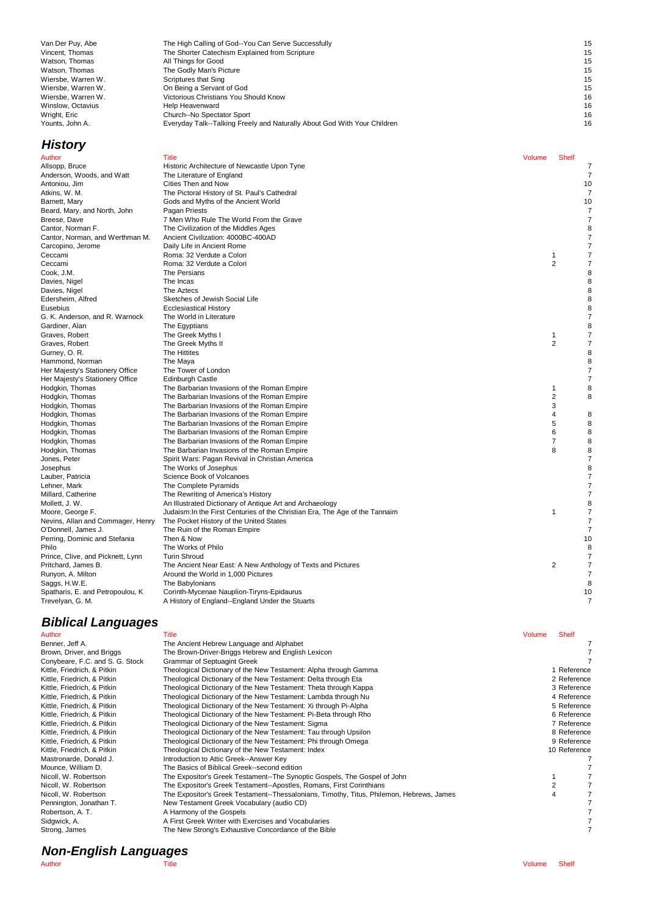| Van Der Puy, Abe   | The High Calling of God--You Can Serve Successfully                      | 15 |
|--------------------|--------------------------------------------------------------------------|----|
| Vincent, Thomas    | The Shorter Catechism Explained from Scripture                           | 15 |
| Watson, Thomas     | All Things for Good                                                      | 15 |
| Watson, Thomas     | The Godly Man's Picture                                                  | 15 |
| Wiersbe, Warren W. | Scriptures that Sing                                                     | 15 |
| Wiersbe, Warren W. | On Being a Servant of God                                                | 15 |
| Wiersbe, Warren W. | Victorious Christians You Should Know                                    | 16 |
| Winslow, Octavius  | Help Heavenward                                                          | 16 |
| Wright, Eric       | Church--No Spectator Sport                                               | 16 |
| Younts. John A.    | Everyday Talk--Talking Freely and Naturally About God With Your Children | 16 |

| <b>History</b>                    |                                                                              |        |                |                |
|-----------------------------------|------------------------------------------------------------------------------|--------|----------------|----------------|
| Author                            | <b>Title</b>                                                                 | Volume | <b>Shelf</b>   |                |
| Allsopp, Bruce                    | Historic Architecture of Newcastle Upon Tyne                                 |        |                | $\overline{7}$ |
| Anderson, Woods, and Watt         | The Literature of England                                                    |        |                | $\overline{7}$ |
| Antoniou, Jim                     | Cities Then and Now                                                          |        |                | 10             |
| Atkins, W. M.                     | The Pictoral History of St. Paul's Cathedral                                 |        |                | $\overline{7}$ |
| Barnett, Mary                     | Gods and Myths of the Ancient World                                          |        |                | 10             |
| Beard, Mary, and North, John      | Pagan Priests                                                                |        |                | 7              |
| Breese, Dave                      | 7 Men Who Rule The World From the Grave                                      |        |                | 7              |
| Cantor, Norman F.                 | The Civilization of the Middles Ages                                         |        |                | 8              |
| Cantor, Norman, and Werthman M.   | Ancient Civilization: 4000BC-400AD                                           |        |                | $\overline{7}$ |
| Carcopino, Jerome                 | Daily Life in Ancient Rome                                                   |        |                | $\overline{7}$ |
| Ceccami                           | Roma: 32 Verdute a Colori                                                    |        | 1              | 7              |
| Ceccami                           | Roma: 32 Verdute a Colori                                                    |        | 2              | $\overline{7}$ |
| Cook, J.M.                        | The Persians                                                                 |        |                | 8              |
| Davies, Nigel                     | The Incas                                                                    |        |                | 8              |
| Davies, Nigel                     | The Aztecs                                                                   |        |                | 8              |
| Edersheim, Alfred                 | Sketches of Jewish Social Life                                               |        |                | 8              |
| Eusebius                          | <b>Ecclesiastical History</b>                                                |        |                | 8              |
| G. K. Anderson, and R. Warnock    | The World in Literature                                                      |        |                | $\overline{7}$ |
| Gardiner, Alan                    | The Egyptians                                                                |        |                | 8              |
| Graves, Robert                    | The Greek Myths I                                                            |        | 1              | $\overline{7}$ |
| Graves, Robert                    | The Greek Myths II                                                           |        | $\overline{2}$ | 7              |
| Gurney, O. R.                     | The Hittites                                                                 |        |                | 8              |
| Hammond, Norman                   | The Maya                                                                     |        |                | 8              |
| Her Majesty's Stationery Office   | The Tower of London                                                          |        |                | $\overline{7}$ |
| Her Majesty's Stationery Office   | <b>Edinburgh Castle</b>                                                      |        |                | $\overline{7}$ |
| Hodgkin, Thomas                   | The Barbarian Invasions of the Roman Empire                                  |        | $\mathbf{1}$   | 8              |
| Hodgkin, Thomas                   | The Barbarian Invasions of the Roman Empire                                  |        | 2              | 8              |
| Hodgkin, Thomas                   | The Barbarian Invasions of the Roman Empire                                  |        | 3              |                |
| Hodgkin, Thomas                   | The Barbarian Invasions of the Roman Empire                                  |        | 4              | 8              |
| Hodgkin, Thomas                   | The Barbarian Invasions of the Roman Empire                                  |        | 5              | 8              |
| Hodgkin, Thomas                   | The Barbarian Invasions of the Roman Empire                                  |        | 6              | 8              |
| Hodgkin, Thomas                   | The Barbarian Invasions of the Roman Empire                                  |        | 7              | 8              |
| Hodgkin, Thomas                   | The Barbarian Invasions of the Roman Empire                                  |        | 8              | 8              |
| Jones, Peter                      | Spirit Wars: Pagan Revival in Christian America                              |        |                | $\overline{7}$ |
| Josephus                          | The Works of Josephus                                                        |        |                | 8              |
| Lauber, Patricia                  | Science Book of Volcanoes                                                    |        |                | $\overline{7}$ |
| Lehner, Mark                      | The Complete Pyramids                                                        |        |                | $\overline{7}$ |
| Millard, Catherine                | The Rewriting of America's History                                           |        |                | $\overline{7}$ |
| Mollett, J. W.                    | An Illustrated Dictionary of Antique Art and Archaeology                     |        |                | 8              |
| Moore, George F.                  | Judaism: In the First Centuries of the Christian Era, The Age of the Tannaim |        | 1              | $\overline{7}$ |
| Nevins, Allan and Commager, Henry | The Pocket History of the United States                                      |        |                | $\overline{7}$ |
| O'Donnell, James J.               | The Ruin of the Roman Empire                                                 |        |                | $\overline{7}$ |
| Perring, Dominic and Stefania     | Then & Now                                                                   |        |                | 10             |
| Philo                             | The Works of Philo                                                           |        |                | 8              |
| Prince, Clive, and Picknett, Lynn | <b>Turin Shroud</b>                                                          |        |                | $\overline{7}$ |
| Pritchard, James B.               | The Ancient Near East: A New Anthology of Texts and Pictures                 |        | 2              | $\overline{7}$ |
| Runyon, A. Milton                 | Around the World in 1,000 Pictures                                           |        |                | $\overline{7}$ |
| Saggs, H.W.E.                     | The Babylonians                                                              |        |                | 8              |
| Spatharis, E. and Petropoulou, K. | Corinth-Mycenae Nauplion-Tiryns-Epidaurus                                    |        |                | 10             |
| Trevelyan, G. M.                  | A History of England--England Under the Stuarts                              |        |                | $\overline{7}$ |

## **Biblical Languages**

| Author                          | Title                                                                                    | <b>Volume</b> | <b>Shelf</b> |
|---------------------------------|------------------------------------------------------------------------------------------|---------------|--------------|
| Benner, Jeff A.                 | The Ancient Hebrew Language and Alphabet                                                 |               |              |
| Brown, Driver, and Briggs       | The Brown-Driver-Briggs Hebrew and English Lexicon                                       |               |              |
| Conybeare, F.C. and S. G. Stock | <b>Grammar of Septuagint Greek</b>                                                       |               |              |
| Kittle, Friedrich, & Pitkin     | Theological Dictionary of the New Testament: Alpha through Gamma                         |               | 1 Reference  |
| Kittle, Friedrich, & Pitkin     | Theological Dictionary of the New Testament: Delta through Eta                           |               | 2 Reference  |
| Kittle, Friedrich, & Pitkin     | Theological Dictionary of the New Testament: Theta through Kappa                         |               | 3 Reference  |
| Kittle, Friedrich, & Pitkin     | Theological Dictionary of the New Testament: Lambda through Nu                           |               | 4 Reference  |
| Kittle, Friedrich, & Pitkin     | Theological Dictionary of the New Testament: Xi through Pi-Alpha                         |               | 5 Reference  |
| Kittle, Friedrich, & Pitkin     | Theological Dictionary of the New Testament: Pi-Beta through Rho                         |               | 6 Reference  |
| Kittle, Friedrich, & Pitkin     | Theological Dictionary of the New Testament: Sigma                                       |               | 7 Reference  |
| Kittle, Friedrich, & Pitkin     | Theological Dictionary of the New Testament: Tau through Upsilon                         |               | 8 Reference  |
| Kittle, Friedrich, & Pitkin     | Theological Dictionary of the New Testament: Phi through Omega                           |               | 9 Reference  |
| Kittle, Friedrich, & Pitkin     | Theological Dictionary of the New Testament: Index                                       |               | 10 Reference |
| Mastronarde, Donald J.          | Introduction to Attic Greek--Answer Key                                                  |               |              |
| Mounce, William D.              | The Basics of Biblical Greek--second edition                                             |               |              |
| Nicoll, W. Robertson            | The Expositor's Greek Testament--The Synoptic Gospels, The Gospel of John                |               |              |
| Nicoll, W. Robertson            | The Expositor's Greek Testament--Apostles, Romans, First Corinthians                     |               |              |
| Nicoll, W. Robertson            | The Expositor's Greek Testament--Thessalonians, Timothy, Titus, Philemon, Hebrews, James |               | 4            |
| Pennington, Jonathan T.         | New Testament Greek Vocabulary (audio CD)                                                |               |              |
| Robertson, A. T.                | A Harmony of the Gospels                                                                 |               |              |
| Sidgwick, A.                    | A First Greek Writer with Exercises and Vocabularies                                     |               |              |
| Strong, James                   | The New Strong's Exhaustive Concordance of the Bible                                     |               |              |

## **History**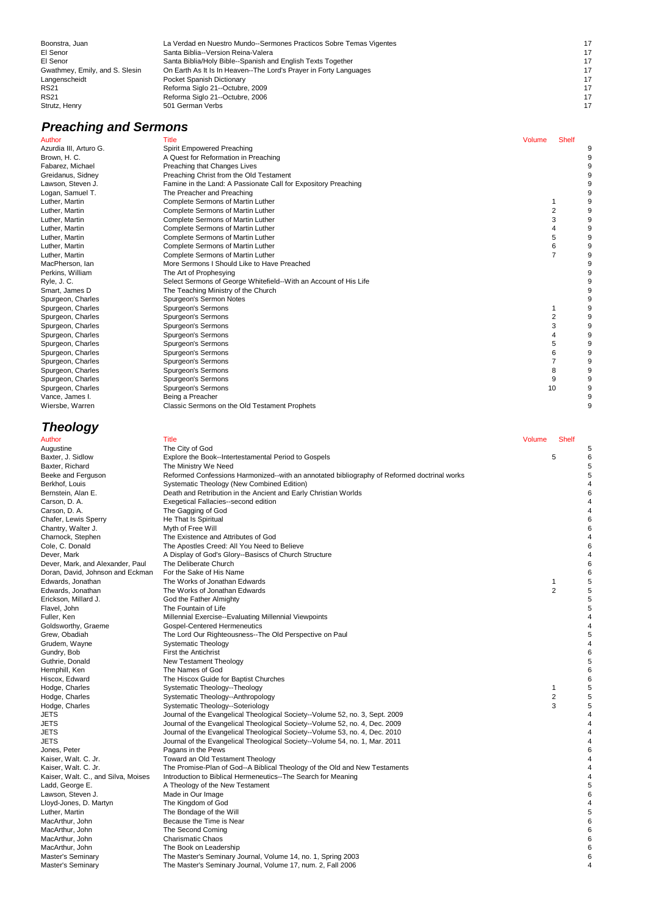| Boonstra, Juan                 | La Verdad en Nuestro Mundo--Sermones Practicos Sobre Temas Vigentes | 17 |
|--------------------------------|---------------------------------------------------------------------|----|
| El Senor                       | Santa Biblia--Version Reina-Valera                                  | 17 |
| El Senor                       | Santa Biblia/Holy Bible--Spanish and English Texts Together         | 17 |
| Gwathmey, Emily, and S. Slesin | On Earth As It Is In Heaven--The Lord's Prayer in Forty Languages   | 17 |
| Langenscheidt                  | Pocket Spanish Dictionary                                           | 17 |
| <b>RS21</b>                    | Reforma Siglo 21--Octubre, 2009                                     | 17 |
| <b>RS21</b>                    | Reforma Siglo 21--Octubre, 2006                                     | 17 |
| Strutz, Henry                  | 501 German Verbs                                                    | 17 |
|                                |                                                                     |    |

# **Preaching and Sermons**<br>Author Title<br>Azurdia III, Arturo G. Spirit En

| Author                 | <b>Title</b>                                                     | Volume | <b>Shelf</b>   |  |
|------------------------|------------------------------------------------------------------|--------|----------------|--|
| Azurdia III, Arturo G. | Spirit Empowered Preaching                                       |        |                |  |
| Brown, H. C.           | A Quest for Reformation in Preaching                             |        |                |  |
| Fabarez, Michael       | Preaching that Changes Lives                                     |        |                |  |
| Greidanus, Sidney      | Preaching Christ from the Old Testament                          |        |                |  |
| Lawson, Steven J.      | Famine in the Land: A Passionate Call for Expository Preaching   |        |                |  |
| Logan, Samuel T.       | The Preacher and Preaching                                       |        |                |  |
| Luther, Martin         | Complete Sermons of Martin Luther                                |        |                |  |
| Luther, Martin         | Complete Sermons of Martin Luther                                |        | 2              |  |
| Luther, Martin         | Complete Sermons of Martin Luther                                |        | 3              |  |
| Luther, Martin         | Complete Sermons of Martin Luther                                |        |                |  |
| Luther, Martin         | Complete Sermons of Martin Luther                                |        | 5              |  |
| Luther, Martin         | Complete Sermons of Martin Luther                                |        | 6              |  |
| Luther, Martin         | Complete Sermons of Martin Luther                                |        | $\overline{7}$ |  |
| MacPherson, lan        | More Sermons I Should Like to Have Preached                      |        |                |  |
| Perkins, William       | The Art of Prophesying                                           |        |                |  |
| Ryle, J. C.            | Select Sermons of George Whitefield--With an Account of His Life |        |                |  |
| Smart, James D         | The Teaching Ministry of the Church                              |        |                |  |
| Spurgeon, Charles      | Spurgeon's Sermon Notes                                          |        |                |  |
| Spurgeon, Charles      | Spurgeon's Sermons                                               |        |                |  |
| Spurgeon, Charles      | Spurgeon's Sermons                                               |        | 2              |  |
| Spurgeon, Charles      | Spurgeon's Sermons                                               |        | 3              |  |
| Spurgeon, Charles      | Spurgeon's Sermons                                               |        |                |  |
| Spurgeon, Charles      | Spurgeon's Sermons                                               |        | 5              |  |
| Spurgeon, Charles      | Spurgeon's Sermons                                               |        | 6              |  |
| Spurgeon, Charles      | Spurgeon's Sermons                                               |        |                |  |
| Spurgeon, Charles      | Spurgeon's Sermons                                               |        | 8              |  |
| Spurgeon, Charles      | Spurgeon's Sermons                                               |        | 9              |  |
| Spurgeon, Charles      | Spurgeon's Sermons                                               |        | 10             |  |
| Vance, James I.        | Being a Preacher                                                 |        |                |  |
| Wiersbe, Warren        | Classic Sermons on the Old Testament Prophets                    |        |                |  |

## **Theology**

| Author                              | Title                                                                                       | Volume | <b>Shelf</b>   |                         |
|-------------------------------------|---------------------------------------------------------------------------------------------|--------|----------------|-------------------------|
| Augustine                           | The City of God                                                                             |        |                | 5                       |
| Baxter, J. Sidlow                   | Explore the Book--Intertestamental Period to Gospels                                        |        | 5              | 6                       |
| Baxter, Richard                     | The Ministry We Need                                                                        |        |                | 5                       |
| Beeke and Ferguson                  | Reformed Confessions Harmonized--with an annotated bibliography of Reformed doctrinal works |        |                | 5                       |
| Berkhof, Louis                      | Systematic Theology (New Combined Edition)                                                  |        |                | 4                       |
| Bernstein, Alan E.                  | Death and Retribution in the Ancient and Early Christian Worlds                             |        |                | 6                       |
| Carson, D. A.                       | Exegetical Fallacies--second edition                                                        |        |                | $\overline{4}$          |
| Carson, D. A.                       | The Gagging of God                                                                          |        |                | $\overline{4}$          |
| Chafer, Lewis Sperry                | He That Is Spiritual                                                                        |        |                | 6                       |
| Chantry, Walter J.                  | Myth of Free Will                                                                           |        |                | 6                       |
| Charnock, Stephen                   | The Existence and Attributes of God                                                         |        |                | $\overline{4}$          |
| Cole, C. Donald                     | The Apostles Creed: All You Need to Believe                                                 |        |                | 6                       |
| Dever, Mark                         | A Display of God's Glory--Basiscs of Church Structure                                       |        |                | $\overline{4}$          |
| Dever, Mark, and Alexander, Paul    | The Deliberate Church                                                                       |        |                | 6                       |
| Doran, David, Johnson and Eckman    | For the Sake of His Name                                                                    |        |                | 6                       |
| Edwards, Jonathan                   | The Works of Jonathan Edwards                                                               |        | 1              | 5                       |
| Edwards, Jonathan                   | The Works of Jonathan Edwards                                                               |        | $\overline{2}$ | 5                       |
| Erickson, Millard J.                | God the Father Almighty                                                                     |        |                | 5                       |
| Flavel, John                        | The Fountain of Life                                                                        |        |                | 5                       |
| Fuller, Ken                         | Millennial Exercise--Evaluating Millennial Viewpoints                                       |        |                | $\overline{4}$          |
| Goldsworthy, Graeme                 | <b>Gospel-Centered Hermeneutics</b>                                                         |        |                | 4                       |
| Grew, Obadiah                       | The Lord Our Righteousness--The Old Perspective on Paul                                     |        |                | 5                       |
| Grudem, Wayne                       | <b>Systematic Theology</b>                                                                  |        |                | $\overline{4}$          |
| Gundry, Bob                         | <b>First the Antichrist</b>                                                                 |        |                | 6                       |
| Guthrie, Donald                     | New Testament Theology                                                                      |        |                | 5                       |
| Hemphill, Ken                       | The Names of God                                                                            |        |                | 6                       |
| Hiscox, Edward                      | The Hiscox Guide for Baptist Churches                                                       |        |                | 6                       |
| Hodge, Charles                      | Systematic Theology--Theology                                                               |        | 1              | 5                       |
| Hodge, Charles                      | Systematic Theology--Anthropology                                                           |        | $\overline{2}$ | 5                       |
| Hodge, Charles                      | Systematic Theology--Soteriology                                                            |        | 3              | 5                       |
| JETS                                | Journal of the Evangelical Theological Society--Volume 52, no. 3, Sept. 2009                |        |                | $\overline{4}$          |
| <b>JETS</b>                         | Journal of the Evangelical Theological Society--Volume 52, no. 4, Dec. 2009                 |        |                | $\overline{4}$          |
| <b>JETS</b>                         | Journal of the Evangelical Theological Society--Volume 53, no. 4, Dec. 2010                 |        |                | $\overline{4}$          |
| <b>JETS</b>                         | Journal of the Evangelical Theological Society--Volume 54, no. 1, Mar. 2011                 |        |                | $\overline{4}$          |
| Jones, Peter                        | Pagans in the Pews                                                                          |        |                | 6                       |
| Kaiser, Walt. C. Jr.                | Toward an Old Testament Theology                                                            |        |                | $\overline{4}$          |
| Kaiser, Walt. C. Jr.                | The Promise-Plan of God--A Biblical Theology of the Old and New Testaments                  |        |                | $\overline{4}$          |
| Kaiser, Walt. C., and Silva, Moises | Introduction to Biblical Hermeneutics--The Search for Meaning                               |        |                | $\overline{4}$          |
| Ladd, George E.                     | A Theology of the New Testament                                                             |        |                | 5                       |
| Lawson, Steven J.                   | Made in Our Image                                                                           |        |                | 6                       |
| Lloyd-Jones, D. Martyn              | The Kingdom of God                                                                          |        |                | $\overline{4}$          |
| Luther, Martin                      | The Bondage of the Will                                                                     |        |                | 5                       |
| MacArthur, John                     | Because the Time is Near                                                                    |        |                | 6                       |
| MacArthur, John                     | The Second Coming                                                                           |        |                | 6                       |
| MacArthur, John                     | <b>Charismatic Chaos</b>                                                                    |        |                | 6                       |
| MacArthur, John                     | The Book on Leadership                                                                      |        |                | 6                       |
| <b>Master's Seminary</b>            | The Master's Seminary Journal, Volume 14, no. 1, Spring 2003                                |        |                | 6                       |
| Master's Seminary                   | The Master's Seminary Journal, Volume 17, num. 2, Fall 2006                                 |        |                | $\overline{\mathbf{A}}$ |